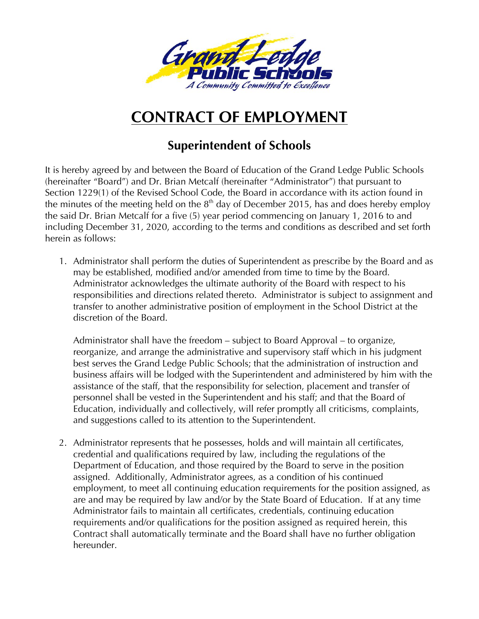

## **CONTRACT OF EMPLOYMENT**

## **Superintendent of Schools**

It is hereby agreed by and between the Board of Education of the Grand Ledge Public Schools (hereinafter "Board") and Dr. Brian Metcalf (hereinafter "Administrator") that pursuant to Section 1229(1) of the Revised School Code, the Board in accordance with its action found in the minutes of the meeting held on the  $8<sup>th</sup>$  day of December 2015, has and does hereby employ the said Dr. Brian Metcalf for a five (5) year period commencing on January 1, 2016 to and including December 31, 2020, according to the terms and conditions as described and set forth herein as follows:

1. Administrator shall perform the duties of Superintendent as prescribe by the Board and as may be established, modified and/or amended from time to time by the Board. Administrator acknowledges the ultimate authority of the Board with respect to his responsibilities and directions related thereto. Administrator is subject to assignment and transfer to another administrative position of employment in the School District at the discretion of the Board.

Administrator shall have the freedom – subject to Board Approval – to organize, reorganize, and arrange the administrative and supervisory staff which in his judgment best serves the Grand Ledge Public Schools; that the administration of instruction and business affairs will be lodged with the Superintendent and administered by him with the assistance of the staff, that the responsibility for selection, placement and transfer of personnel shall be vested in the Superintendent and his staff; and that the Board of Education, individually and collectively, will refer promptly all criticisms, complaints, and suggestions called to its attention to the Superintendent.

2. Administrator represents that he possesses, holds and will maintain all certificates, credential and qualifications required by law, including the regulations of the Department of Education, and those required by the Board to serve in the position assigned. Additionally, Administrator agrees, as a condition of his continued employment, to meet all continuing education requirements for the position assigned, as are and may be required by law and/or by the State Board of Education. If at any time Administrator fails to maintain all certificates, credentials, continuing education requirements and/or qualifications for the position assigned as required herein, this Contract shall automatically terminate and the Board shall have no further obligation hereunder.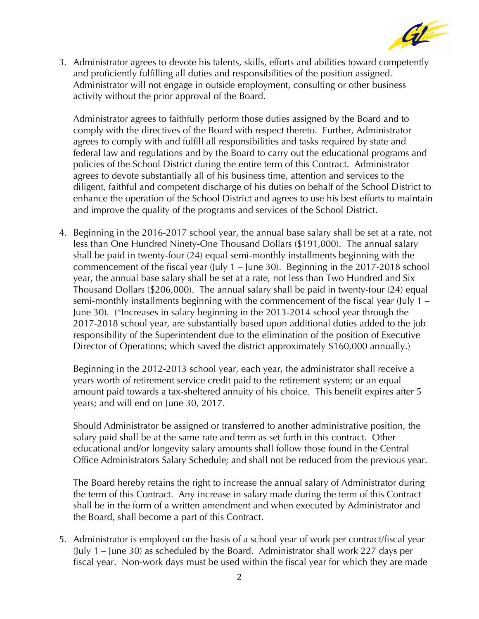

3. Administrator agrees to devote his talents, skills, efforts and abilities toward competently and proficiently fulfilling all duties and responsibilities of the position assigned. Administrator will not engage in outside employment, consulting or other business activity without the prior approval of the Board.

Administrator agrees to faithfully perform those duties assigned by the Board and to comply with the directives of the Board with respect thereto. Further, Administrator agrees to comply with and fulfill all responsibilities and tasks required by state and federal law and regulations and by the Board to carry out the educational programs and policies of the School District during the entire term of this Contract. Administrator agrees to devote substantially all of his business time, attention and services to the diligent, faithful and competent discharge of his duties on behalf of the School District to enhance the operation of the School District and agrees to use his best efforts to maintain and improve the quality of the programs and services of the School District.

4. Beginning in the 2016-2017 school year, the annual base salary shall be set at a rate, not less than One Hundred Ninety-One Thousand Dollars (\$191,000). The annual salary shall be paid in twenty-four (24) equal semi-monthly installments beginning with the commencement of the fiscal year (July 1 – June 30). Beginning in the 2017-2018 school year, the annual base salary shall be set at a rate, not less than Two Hundred and Six Thousand Dollars (\$206,000). The annual salary shall be paid in twenty-four (24) equal semi-monthly installments beginning with the commencement of the fiscal year (July 1 – June 30). (\*Increases in salary beginning in the 2013-2014 school year through the 2017-2018 school year, are substantially based upon additional duties added to the job responsibility of the Superintendent due to the elimination of the position of Executive Director of Operations; which saved the district approximately \$160,000 annually.)

Beginning in the 2012-2013 school year, each year, the administrator shall receive a years worth of retirement service credit paid to the retirement system; or an equal amount paid towards a tax-sheltered annuity of his choice. This benefit expires after 5 years; and will end on June 30, 2017.

Should Administrator be assigned or transferred to another administrative position, the salary paid shall be at the same rate and term as set forth in this contract. Other educational and/or longevity salary amounts shall follow those found in the Central Office Administrators Salary Schedule; and shall not be reduced from the previous year.

The Board hereby retains the right to increase the annual salary of Administrator during the term of this Contract. Any increase in salary made during the term of this Contract shall be in the form of a written amendment and when executed by Administrator and the Board, shall become a part of this Contract.

5. Administrator is employed on the basis of a school year of work per contract/fiscal year (July 1 – June 30) as scheduled by the Board. Administrator shall work 227 days per fiscal year. Non-work days must be used within the fiscal year for which they are made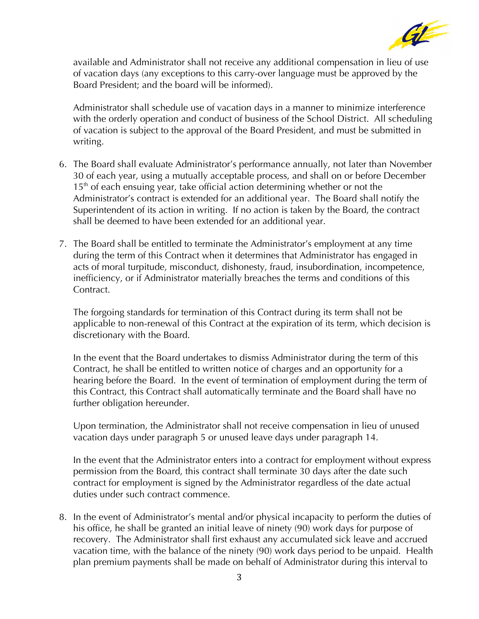

available and Administrator shall not receive any additional compensation in lieu of use of vacation days (any exceptions to this carry-over language must be approved by the Board President; and the board will be informed).

Administrator shall schedule use of vacation days in a manner to minimize interference with the orderly operation and conduct of business of the School District. All scheduling of vacation is subject to the approval of the Board President, and must be submitted in writing.

- 6. The Board shall evaluate Administrator's performance annually, not later than November 30 of each year, using a mutually acceptable process, and shall on or before December  $15<sup>th</sup>$  of each ensuing year, take official action determining whether or not the Administrator's contract is extended for an additional year. The Board shall notify the Superintendent of its action in writing. If no action is taken by the Board, the contract shall be deemed to have been extended for an additional year.
- 7. The Board shall be entitled to terminate the Administrator's employment at any time during the term of this Contract when it determines that Administrator has engaged in acts of moral turpitude, misconduct, dishonesty, fraud, insubordination, incompetence, inefficiency, or if Administrator materially breaches the terms and conditions of this Contract.

The forgoing standards for termination of this Contract during its term shall not be applicable to non-renewal of this Contract at the expiration of its term, which decision is discretionary with the Board.

In the event that the Board undertakes to dismiss Administrator during the term of this Contract, he shall be entitled to written notice of charges and an opportunity for a hearing before the Board. In the event of termination of employment during the term of this Contract, this Contract shall automatically terminate and the Board shall have no further obligation hereunder.

Upon termination, the Administrator shall not receive compensation in lieu of unused vacation days under paragraph 5 or unused leave days under paragraph 14.

In the event that the Administrator enters into a contract for employment without express permission from the Board, this contract shall terminate 30 days after the date such contract for employment is signed by the Administrator regardless of the date actual duties under such contract commence.

8. In the event of Administrator's mental and/or physical incapacity to perform the duties of his office, he shall be granted an initial leave of ninety (90) work days for purpose of recovery. The Administrator shall first exhaust any accumulated sick leave and accrued vacation time, with the balance of the ninety (90) work days period to be unpaid. Health plan premium payments shall be made on behalf of Administrator during this interval to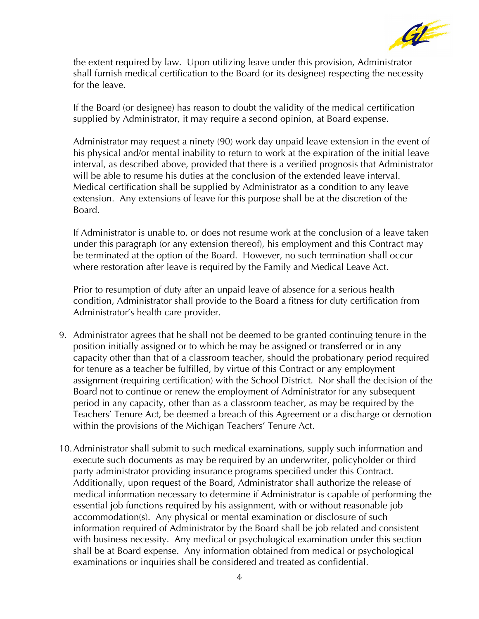

the extent required by law. Upon utilizing leave under this provision, Administrator shall furnish medical certification to the Board (or its designee) respecting the necessity for the leave.

If the Board (or designee) has reason to doubt the validity of the medical certification supplied by Administrator, it may require a second opinion, at Board expense.

Administrator may request a ninety (90) work day unpaid leave extension in the event of his physical and/or mental inability to return to work at the expiration of the initial leave interval, as described above, provided that there is a verified prognosis that Administrator will be able to resume his duties at the conclusion of the extended leave interval. Medical certification shall be supplied by Administrator as a condition to any leave extension. Any extensions of leave for this purpose shall be at the discretion of the Board.

If Administrator is unable to, or does not resume work at the conclusion of a leave taken under this paragraph (or any extension thereof), his employment and this Contract may be terminated at the option of the Board. However, no such termination shall occur where restoration after leave is required by the Family and Medical Leave Act.

Prior to resumption of duty after an unpaid leave of absence for a serious health condition, Administrator shall provide to the Board a fitness for duty certification from Administrator's health care provider.

- 9. Administrator agrees that he shall not be deemed to be granted continuing tenure in the position initially assigned or to which he may be assigned or transferred or in any capacity other than that of a classroom teacher, should the probationary period required for tenure as a teacher be fulfilled, by virtue of this Contract or any employment assignment (requiring certification) with the School District. Nor shall the decision of the Board not to continue or renew the employment of Administrator for any subsequent period in any capacity, other than as a classroom teacher, as may be required by the Teachers' Tenure Act, be deemed a breach of this Agreement or a discharge or demotion within the provisions of the Michigan Teachers' Tenure Act.
- 10.Administrator shall submit to such medical examinations, supply such information and execute such documents as may be required by an underwriter, policyholder or third party administrator providing insurance programs specified under this Contract. Additionally, upon request of the Board, Administrator shall authorize the release of medical information necessary to determine if Administrator is capable of performing the essential job functions required by his assignment, with or without reasonable job accommodation(s). Any physical or mental examination or disclosure of such information required of Administrator by the Board shall be job related and consistent with business necessity. Any medical or psychological examination under this section shall be at Board expense. Any information obtained from medical or psychological examinations or inquiries shall be considered and treated as confidential.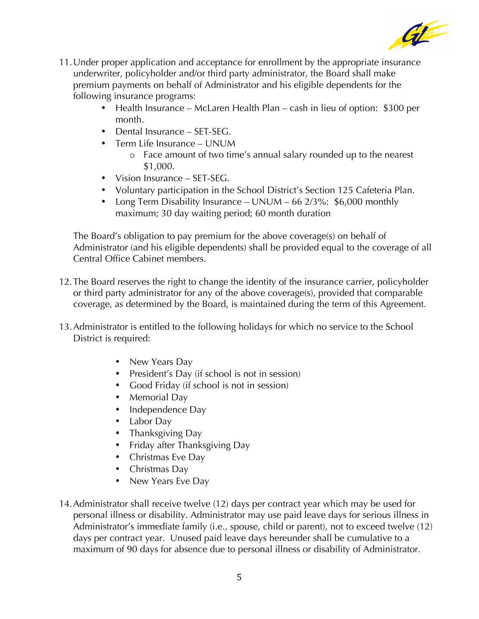

- 11.Under proper application and acceptance for enrollment by the appropriate insurance underwriter, policyholder and/or third party administrator, the Board shall make premium payments on behalf of Administrator and his eligible dependents for the following insurance programs:
	- Health Insurance McLaren Health Plan cash in lieu of option: \$300 per month.
	- Dental Insurance SET-SEG.
	- Term Life Insurance UNUM
		- o Face amount of two time's annual salary rounded up to the nearest \$1,000.
	- Vision Insurance SET-SEG.
	- Voluntary participation in the School District's Section 125 Cafeteria Plan.
	- Long Term Disability Insurance UNUM 66 2/3%: \$6,000 monthly maximum; 30 day waiting period; 60 month duration

The Board's obligation to pay premium for the above coverage(s) on behalf of Administrator (and his eligible dependents) shall be provided equal to the coverage of all Central Office Cabinet members.

- 12.The Board reserves the right to change the identity of the insurance carrier, policyholder or third party administrator for any of the above coverage(s), provided that comparable coverage, as determined by the Board, is maintained during the term of this Agreement.
- 13.Administrator is entitled to the following holidays for which no service to the School District is required:
	- New Years Day
	- President's Day (if school is not in session)
	- Good Friday (if school is not in session)
	- Memorial Day
	- Independence Day
	- Labor Day
	- Thanksgiving Day
	- Friday after Thanksgiving Day
	- Christmas Eve Day
	- Christmas Day
	- New Years Eve Day
- 14.Administrator shall receive twelve (12) days per contract year which may be used for personal illness or disability. Administrator may use paid leave days for serious illness in Administrator's immediate family (i.e., spouse, child or parent), not to exceed twelve (12) days per contract year. Unused paid leave days hereunder shall be cumulative to a maximum of 90 days for absence due to personal illness or disability of Administrator.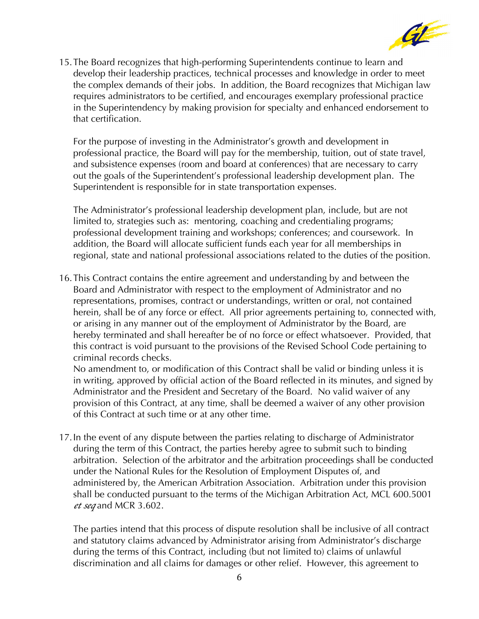

15.The Board recognizes that high-performing Superintendents continue to learn and develop their leadership practices, technical processes and knowledge in order to meet the complex demands of their jobs. In addition, the Board recognizes that Michigan law requires administrators to be certified, and encourages exemplary professional practice in the Superintendency by making provision for specialty and enhanced endorsement to that certification.

For the purpose of investing in the Administrator's growth and development in professional practice, the Board will pay for the membership, tuition, out of state travel, and subsistence expenses (room and board at conferences) that are necessary to carry out the goals of the Superintendent's professional leadership development plan. The Superintendent is responsible for in state transportation expenses.

The Administrator's professional leadership development plan, include, but are not limited to, strategies such as: mentoring, coaching and credentialing programs; professional development training and workshops; conferences; and coursework. In addition, the Board will allocate sufficient funds each year for all memberships in regional, state and national professional associations related to the duties of the position.

16.This Contract contains the entire agreement and understanding by and between the Board and Administrator with respect to the employment of Administrator and no representations, promises, contract or understandings, written or oral, not contained herein, shall be of any force or effect. All prior agreements pertaining to, connected with, or arising in any manner out of the employment of Administrator by the Board, are hereby terminated and shall hereafter be of no force or effect whatsoever. Provided, that this contract is void pursuant to the provisions of the Revised School Code pertaining to criminal records checks.

No amendment to, or modification of this Contract shall be valid or binding unless it is in writing, approved by official action of the Board reflected in its minutes, and signed by Administrator and the President and Secretary of the Board. No valid waiver of any provision of this Contract, at any time, shall be deemed a waiver of any other provision of this Contract at such time or at any other time.

17.In the event of any dispute between the parties relating to discharge of Administrator during the term of this Contract, the parties hereby agree to submit such to binding arbitration. Selection of the arbitrator and the arbitration proceedings shall be conducted under the National Rules for the Resolution of Employment Disputes of, and administered by, the American Arbitration Association. Arbitration under this provision shall be conducted pursuant to the terms of the Michigan Arbitration Act, MCL 600.5001 *et seq* and MCR 3.602.

The parties intend that this process of dispute resolution shall be inclusive of all contract and statutory claims advanced by Administrator arising from Administrator's discharge during the terms of this Contract, including (but not limited to) claims of unlawful discrimination and all claims for damages or other relief. However, this agreement to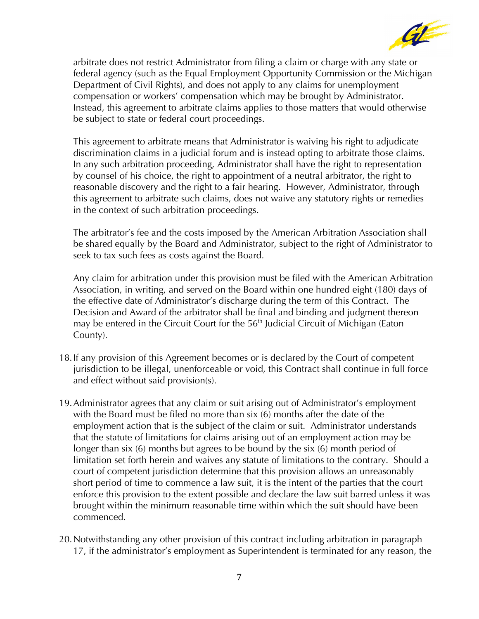

arbitrate does not restrict Administrator from filing a claim or charge with any state or federal agency (such as the Equal Employment Opportunity Commission or the Michigan Department of Civil Rights), and does not apply to any claims for unemployment compensation or workers' compensation which may be brought by Administrator. Instead, this agreement to arbitrate claims applies to those matters that would otherwise be subject to state or federal court proceedings.

This agreement to arbitrate means that Administrator is waiving his right to adjudicate discrimination claims in a judicial forum and is instead opting to arbitrate those claims. In any such arbitration proceeding, Administrator shall have the right to representation by counsel of his choice, the right to appointment of a neutral arbitrator, the right to reasonable discovery and the right to a fair hearing. However, Administrator, through this agreement to arbitrate such claims, does not waive any statutory rights or remedies in the context of such arbitration proceedings.

The arbitrator's fee and the costs imposed by the American Arbitration Association shall be shared equally by the Board and Administrator, subject to the right of Administrator to seek to tax such fees as costs against the Board.

Any claim for arbitration under this provision must be filed with the American Arbitration Association, in writing, and served on the Board within one hundred eight (180) days of the effective date of Administrator's discharge during the term of this Contract. The Decision and Award of the arbitrator shall be final and binding and judgment thereon may be entered in the Circuit Court for the 56<sup>th</sup> Judicial Circuit of Michigan (Eaton County).

- 18.If any provision of this Agreement becomes or is declared by the Court of competent jurisdiction to be illegal, unenforceable or void, this Contract shall continue in full force and effect without said provision(s).
- 19.Administrator agrees that any claim or suit arising out of Administrator's employment with the Board must be filed no more than six (6) months after the date of the employment action that is the subject of the claim or suit. Administrator understands that the statute of limitations for claims arising out of an employment action may be longer than six (6) months but agrees to be bound by the six (6) month period of limitation set forth herein and waives any statute of limitations to the contrary. Should a court of competent jurisdiction determine that this provision allows an unreasonably short period of time to commence a law suit, it is the intent of the parties that the court enforce this provision to the extent possible and declare the law suit barred unless it was brought within the minimum reasonable time within which the suit should have been commenced.
- 20.Notwithstanding any other provision of this contract including arbitration in paragraph 17, if the administrator's employment as Superintendent is terminated for any reason, the